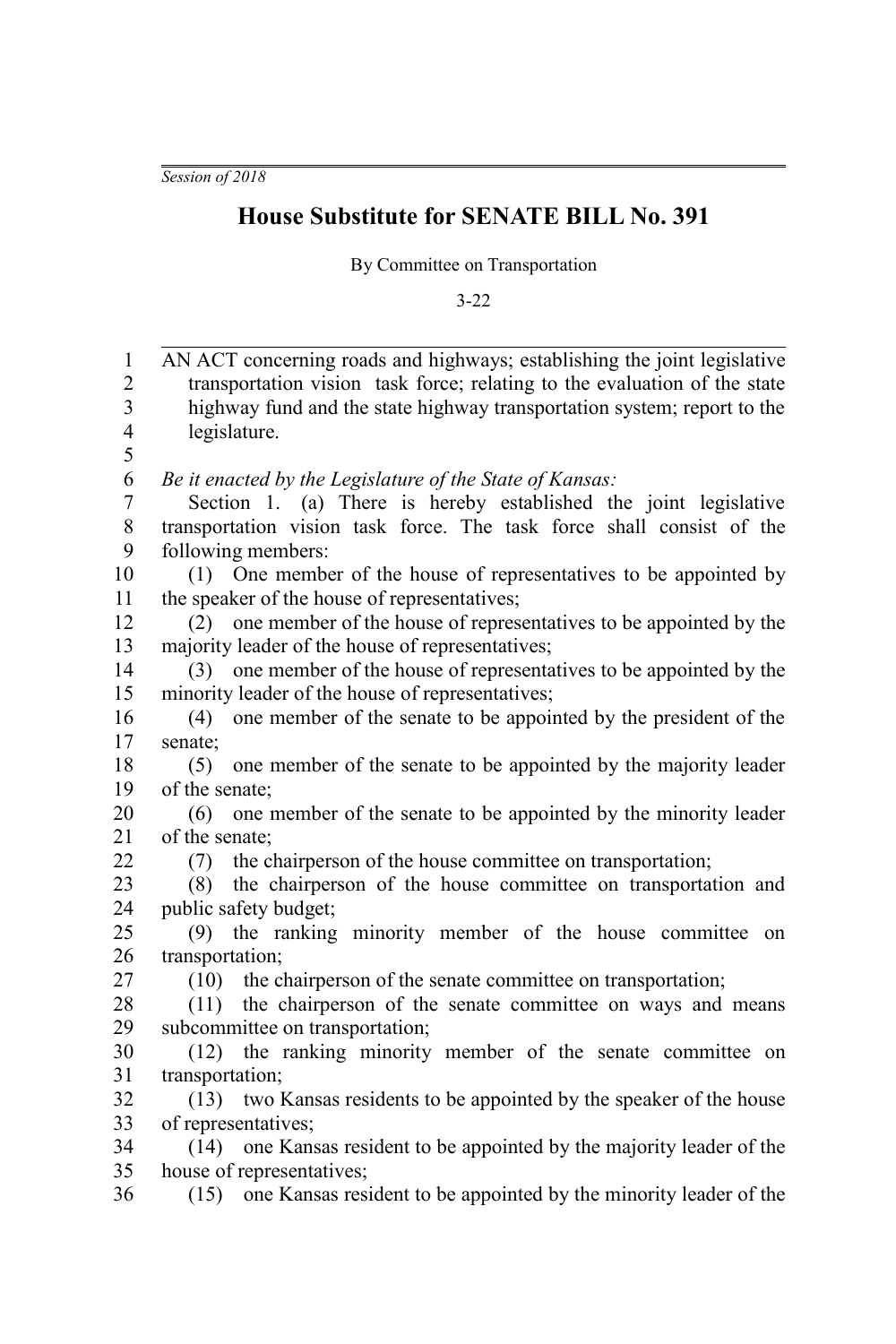*Session of 2018*

## **House Substitute for SENATE BILL No. 391**

By Committee on Transportation

3-22

| $\mathbf{1}$             | AN ACT concerning roads and highways; establishing the joint legislative  |
|--------------------------|---------------------------------------------------------------------------|
| $\overline{c}$           | transportation vision task force; relating to the evaluation of the state |
| $\overline{\mathbf{3}}$  | highway fund and the state highway transportation system; report to the   |
| $\overline{\mathcal{L}}$ | legislature.                                                              |
| 5                        |                                                                           |
| 6                        | Be it enacted by the Legislature of the State of Kansas:                  |
| $\overline{7}$           | Section 1. (a) There is hereby established the joint legislative          |
| 8                        | transportation vision task force. The task force shall consist of the     |
| 9                        | following members:                                                        |
| 10                       | (1) One member of the house of representatives to be appointed by         |
| 11                       | the speaker of the house of representatives;                              |
| 12                       | (2) one member of the house of representatives to be appointed by the     |
| 13                       | majority leader of the house of representatives;                          |
| 14                       | (3) one member of the house of representatives to be appointed by the     |
| 15                       | minority leader of the house of representatives;                          |
| 16                       | one member of the senate to be appointed by the president of the<br>(4)   |
| 17                       | senate;                                                                   |
| 18                       | one member of the senate to be appointed by the majority leader<br>(5)    |
| 19                       | of the senate;                                                            |
| 20                       | one member of the senate to be appointed by the minority leader<br>(6)    |
| 21                       | of the senate;                                                            |
| 22                       | the chairperson of the house committee on transportation;<br>(7)          |
| 23                       | the chairperson of the house committee on transportation and<br>(8)       |
| 24                       | public safety budget;                                                     |
| 25                       | (9) the ranking minority member of the house committee on                 |
| 26                       | transportation;                                                           |
| 27                       | the chairperson of the senate committee on transportation;<br>(10)        |
| 28                       | the chairperson of the senate committee on ways and means<br>(11)         |
| 29                       | subcommittee on transportation;                                           |
| 30                       | the ranking minority member of the senate committee on<br>(12)            |
| 31                       | transportation;                                                           |
| 32                       | (13) two Kansas residents to be appointed by the speaker of the house     |
| 33                       | of representatives;                                                       |
| 34                       | one Kansas resident to be appointed by the majority leader of the<br>(14) |
| 35                       | house of representatives;                                                 |
| 36                       | one Kansas resident to be appointed by the minority leader of the<br>(15) |
|                          |                                                                           |
|                          |                                                                           |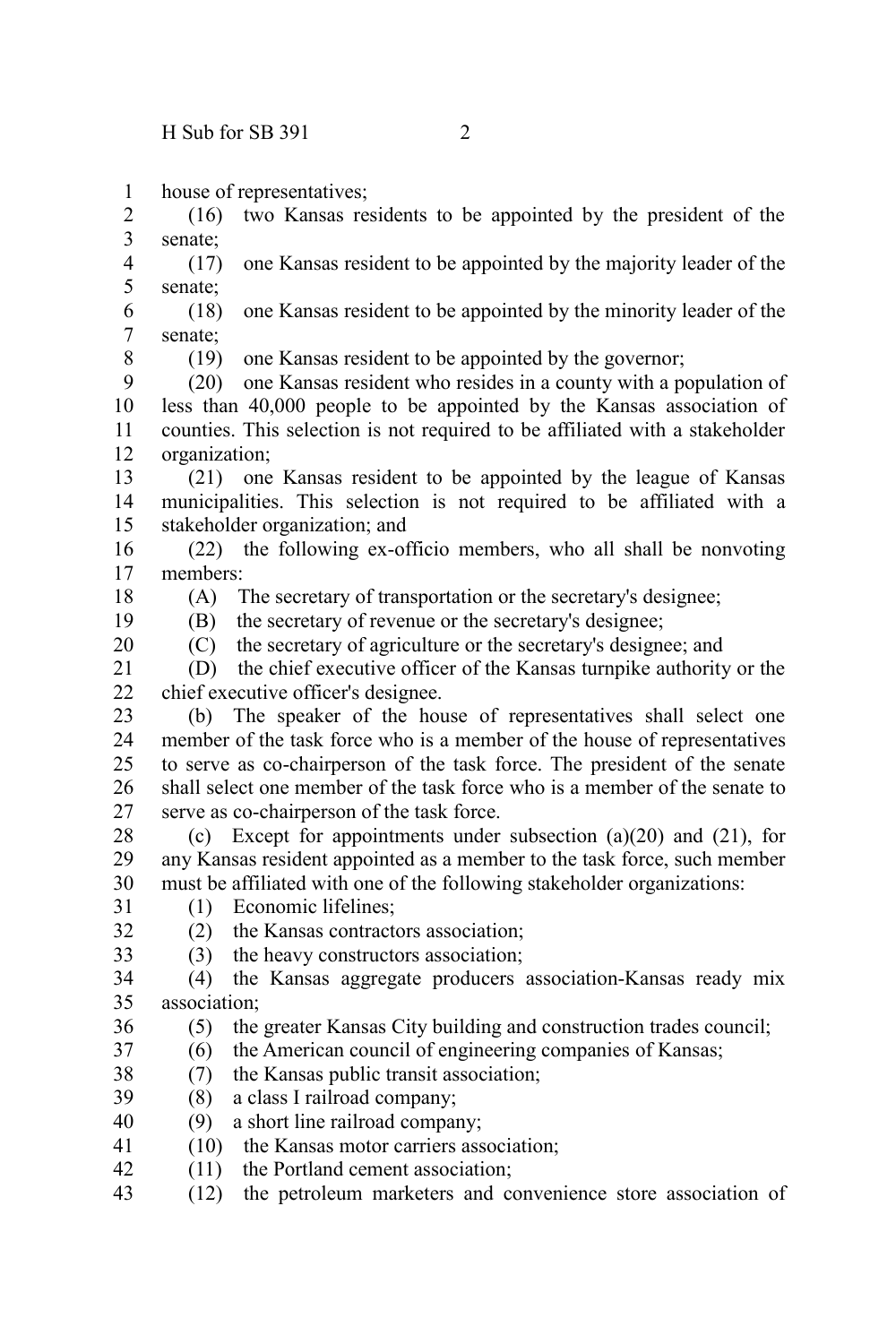house of representatives; 1

(16) two Kansas residents to be appointed by the president of the senate; 2 3

(17) one Kansas resident to be appointed by the majority leader of the senate; 4 5

(18) one Kansas resident to be appointed by the minority leader of the senate; 6 7

8

(19) one Kansas resident to be appointed by the governor;

(20) one Kansas resident who resides in a county with a population of less than 40,000 people to be appointed by the Kansas association of counties. This selection is not required to be affiliated with a stakeholder organization; 9 10 11 12

(21) one Kansas resident to be appointed by the league of Kansas municipalities. This selection is not required to be affiliated with a stakeholder organization; and 13 14 15

(22) the following ex-officio members, who all shall be nonvoting members: 16 17

18 19

20

32 33 (A) The secretary of transportation or the secretary's designee;

(B) the secretary of revenue or the secretary's designee;

(C) the secretary of agriculture or the secretary's designee; and

(D) the chief executive officer of the Kansas turnpike authority or the chief executive officer's designee. 21  $22$ 

(b) The speaker of the house of representatives shall select one member of the task force who is a member of the house of representatives to serve as co-chairperson of the task force. The president of the senate shall select one member of the task force who is a member of the senate to serve as co-chairperson of the task force. 23 24 25 26 27

(c) Except for appointments under subsection (a)(20) and (21), for any Kansas resident appointed as a member to the task force, such member must be affiliated with one of the following stakeholder organizations: 28 29 30

(1) Economic lifelines; 31

(2) the Kansas contractors association;

(3) the heavy constructors association;

(4) the Kansas aggregate producers association-Kansas ready mix association; 34 35

- (5) the greater Kansas City building and construction trades council; 36
- (6) the American council of engineering companies of Kansas; 37
- (7) the Kansas public transit association; 38
- (8) a class I railroad company; 39
- (9) a short line railroad company; 40
- (10) the Kansas motor carriers association; 41
- (11) the Portland cement association; 42
- (12) the petroleum marketers and convenience store association of 43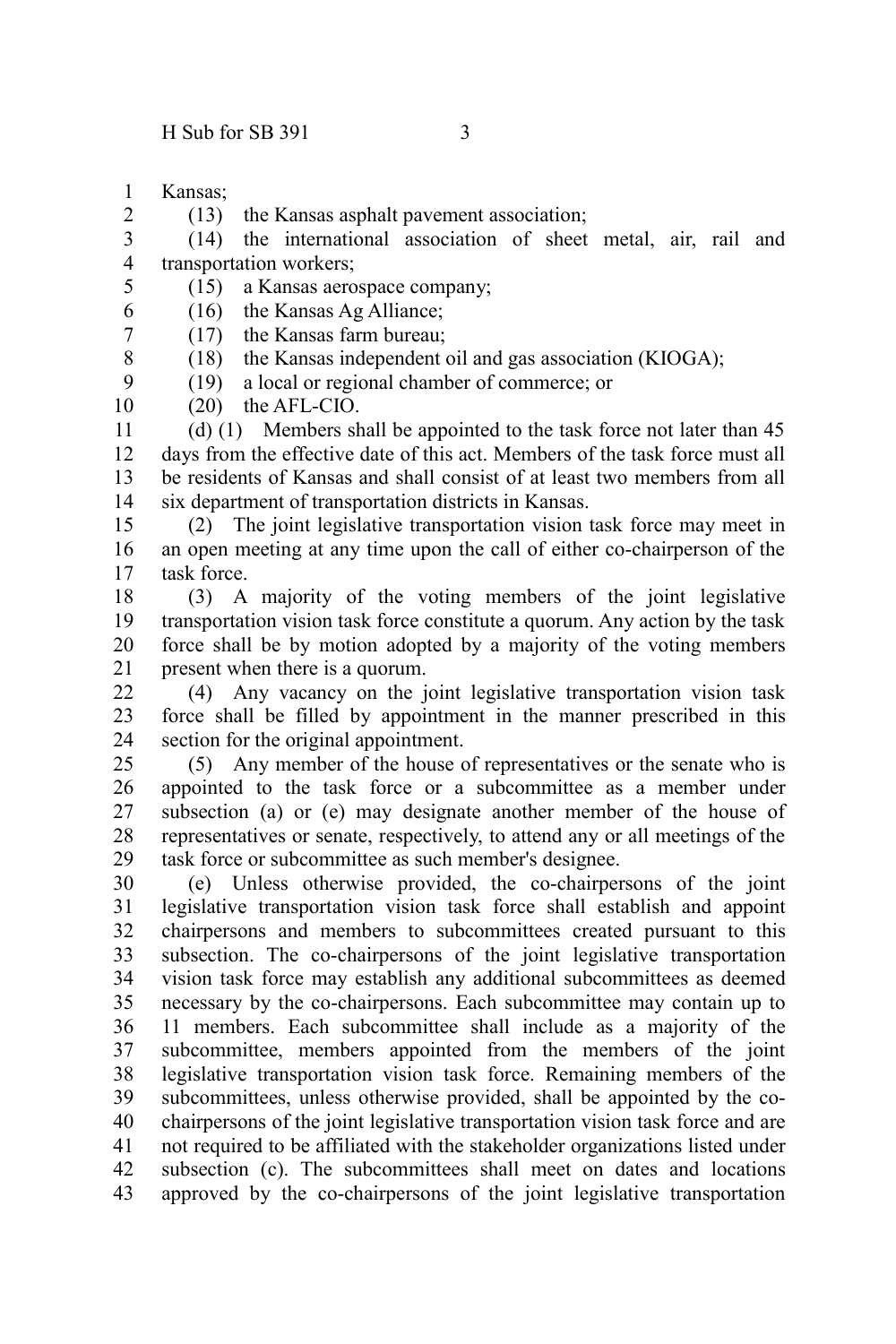Kansas; 1

2

8 9 (13) the Kansas asphalt pavement association;

(14) the international association of sheet metal, air, rail and transportation workers; 3 4

(15) a Kansas aerospace company; 5

(16) the Kansas Ag Alliance; 6

(17) the Kansas farm bureau; 7

(18) the Kansas independent oil and gas association (KIOGA);

(19) a local or regional chamber of commerce; or

(20) the AFL-CIO. 10

(d) (1) Members shall be appointed to the task force not later than 45 days from the effective date of this act. Members of the task force must all be residents of Kansas and shall consist of at least two members from all six department of transportation districts in Kansas. 11 12 13 14

(2) The joint legislative transportation vision task force may meet in an open meeting at any time upon the call of either co-chairperson of the task force. 15 16 17

(3) A majority of the voting members of the joint legislative transportation vision task force constitute a quorum. Any action by the task force shall be by motion adopted by a majority of the voting members present when there is a quorum. 18 19 20 21

(4) Any vacancy on the joint legislative transportation vision task force shall be filled by appointment in the manner prescribed in this section for the original appointment. 22 23 24

(5) Any member of the house of representatives or the senate who is appointed to the task force or a subcommittee as a member under subsection (a) or (e) may designate another member of the house of representatives or senate, respectively, to attend any or all meetings of the task force or subcommittee as such member's designee. 25 26 27 28 29

(e) Unless otherwise provided, the co-chairpersons of the joint legislative transportation vision task force shall establish and appoint chairpersons and members to subcommittees created pursuant to this subsection. The co-chairpersons of the joint legislative transportation vision task force may establish any additional subcommittees as deemed necessary by the co-chairpersons. Each subcommittee may contain up to 11 members. Each subcommittee shall include as a majority of the subcommittee, members appointed from the members of the joint legislative transportation vision task force. Remaining members of the subcommittees, unless otherwise provided, shall be appointed by the cochairpersons of the joint legislative transportation vision task force and are not required to be affiliated with the stakeholder organizations listed under subsection (c). The subcommittees shall meet on dates and locations approved by the co-chairpersons of the joint legislative transportation 30 31 32 33 34 35 36 37 38 39 40 41 42 43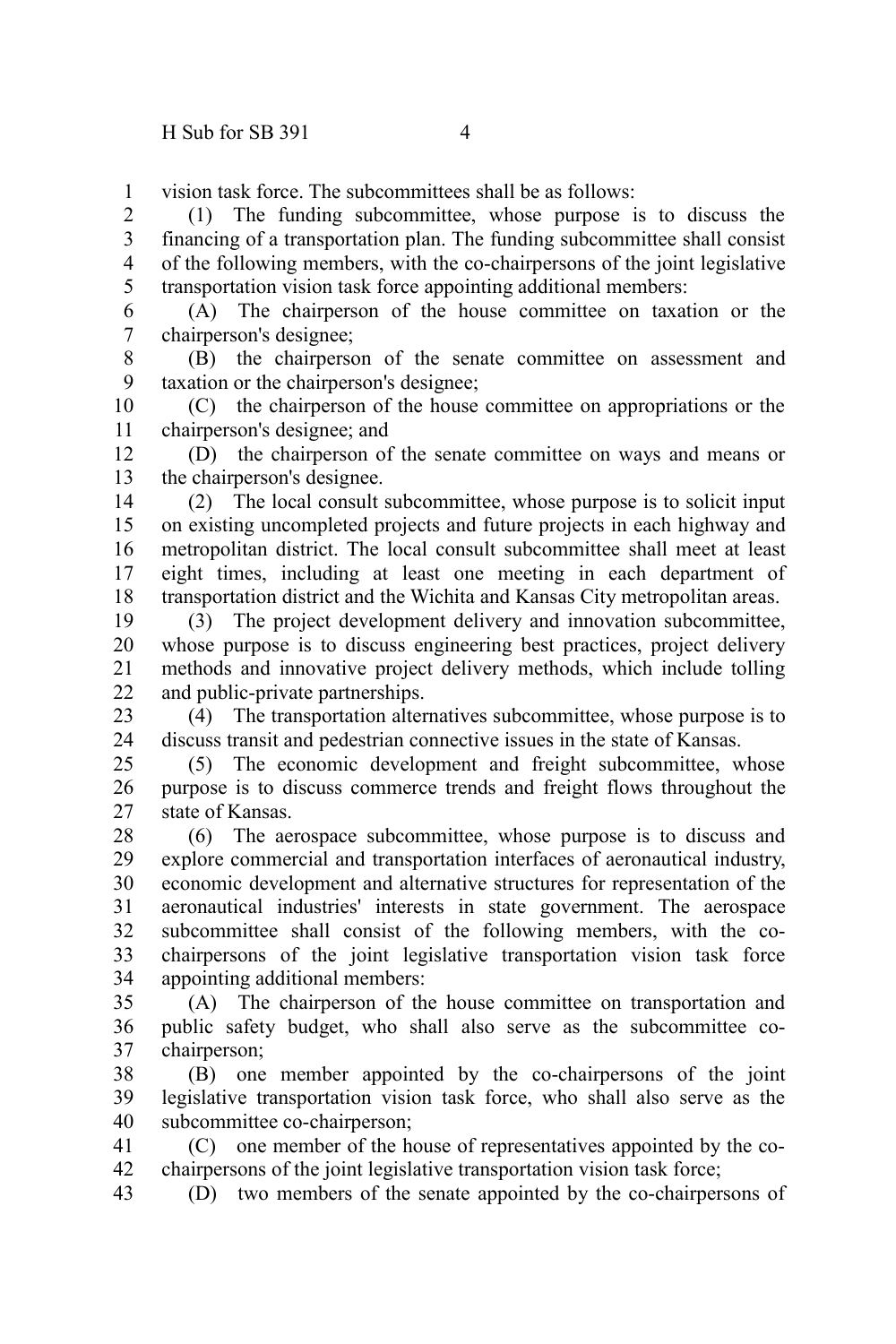vision task force. The subcommittees shall be as follows: 1

(1) The funding subcommittee, whose purpose is to discuss the financing of a transportation plan. The funding subcommittee shall consist of the following members, with the co-chairpersons of the joint legislative transportation vision task force appointing additional members: 2 3 4 5

(A) The chairperson of the house committee on taxation or the chairperson's designee; 6 7

(B) the chairperson of the senate committee on assessment and taxation or the chairperson's designee; 8 9

(C) the chairperson of the house committee on appropriations or the chairperson's designee; and 10 11

(D) the chairperson of the senate committee on ways and means or the chairperson's designee. 12 13

(2) The local consult subcommittee, whose purpose is to solicit input on existing uncompleted projects and future projects in each highway and metropolitan district. The local consult subcommittee shall meet at least eight times, including at least one meeting in each department of transportation district and the Wichita and Kansas City metropolitan areas. 14 15 16 17 18

(3) The project development delivery and innovation subcommittee, whose purpose is to discuss engineering best practices, project delivery methods and innovative project delivery methods, which include tolling and public-private partnerships. 19 20 21 22

(4) The transportation alternatives subcommittee, whose purpose is to discuss transit and pedestrian connective issues in the state of Kansas. 23 24

(5) The economic development and freight subcommittee, whose purpose is to discuss commerce trends and freight flows throughout the state of Kansas. 25 26 27

(6) The aerospace subcommittee, whose purpose is to discuss and explore commercial and transportation interfaces of aeronautical industry, economic development and alternative structures for representation of the aeronautical industries' interests in state government. The aerospace subcommittee shall consist of the following members, with the cochairpersons of the joint legislative transportation vision task force appointing additional members: 28 29 30 31 32 33 34

(A) The chairperson of the house committee on transportation and public safety budget, who shall also serve as the subcommittee cochairperson; 35 36 37

(B) one member appointed by the co-chairpersons of the joint legislative transportation vision task force, who shall also serve as the subcommittee co-chairperson; 38 39 40

(C) one member of the house of representatives appointed by the cochairpersons of the joint legislative transportation vision task force; 41 42

(D) two members of the senate appointed by the co-chairpersons of 43